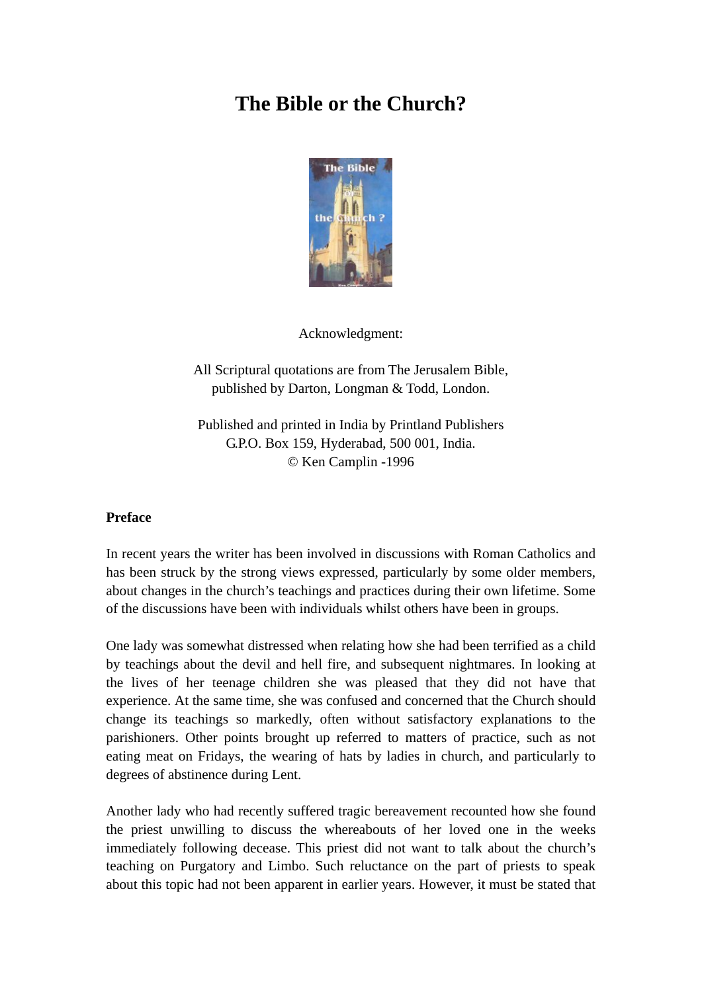# **The Bible or the Church?**



Acknowledgment:

All Scriptural quotations are from The Jerusalem Bible, published by Darton, Longman & Todd, London.

Published and printed in India by Printland Publishers G.P.O. Box 159, Hyderabad, 500 001, India. © Ken Camplin -1996

## **Preface**

In recent years the writer has been involved in discussions with Roman Catholics and has been struck by the strong views expressed, particularly by some older members, about changes in the church's teachings and practices during their own lifetime. Some of the discussions have been with individuals whilst others have been in groups.

One lady was somewhat distressed when relating how she had been terrified as a child by teachings about the devil and hell fire, and subsequent nightmares. In looking at the lives of her teenage children she was pleased that they did not have that experience. At the same time, she was confused and concerned that the Church should change its teachings so markedly, often without satisfactory explanations to the parishioners. Other points brought up referred to matters of practice, such as not eating meat on Fridays, the wearing of hats by ladies in church, and particularly to degrees of abstinence during Lent.

Another lady who had recently suffered tragic bereavement recounted how she found the priest unwilling to discuss the whereabouts of her loved one in the weeks immediately following decease. This priest did not want to talk about the church's teaching on Purgatory and Limbo. Such reluctance on the part of priests to speak about this topic had not been apparent in earlier years. However, it must be stated that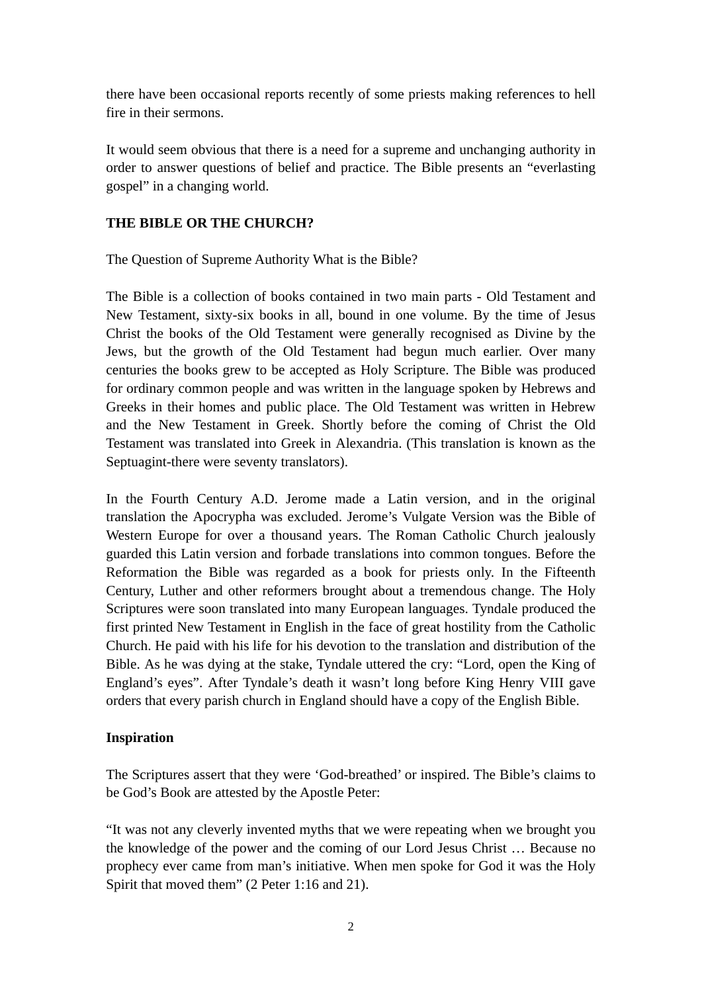there have been occasional reports recently of some priests making references to hell fire in their sermons.

It would seem obvious that there is a need for a supreme and unchanging authority in order to answer questions of belief and practice. The Bible presents an "everlasting gospel" in a changing world.

# **THE BIBLE OR THE CHURCH?**

The Question of Supreme Authority What is the Bible?

The Bible is a collection of books contained in two main parts - Old Testament and New Testament, sixty-six books in all, bound in one volume. By the time of Jesus Christ the books of the Old Testament were generally recognised as Divine by the Jews, but the growth of the Old Testament had begun much earlier. Over many centuries the books grew to be accepted as Holy Scripture. The Bible was produced for ordinary common people and was written in the language spoken by Hebrews and Greeks in their homes and public place. The Old Testament was written in Hebrew and the New Testament in Greek. Shortly before the coming of Christ the Old Testament was translated into Greek in Alexandria. (This translation is known as the Septuagint-there were seventy translators).

In the Fourth Century A.D. Jerome made a Latin version, and in the original translation the Apocrypha was excluded. Jerome's Vulgate Version was the Bible of Western Europe for over a thousand years. The Roman Catholic Church jealously guarded this Latin version and forbade translations into common tongues. Before the Reformation the Bible was regarded as a book for priests only. In the Fifteenth Century, Luther and other reformers brought about a tremendous change. The Holy Scriptures were soon translated into many European languages. Tyndale produced the first printed New Testament in English in the face of great hostility from the Catholic Church. He paid with his life for his devotion to the translation and distribution of the Bible. As he was dying at the stake, Tyndale uttered the cry: "Lord, open the King of England's eyes". After Tyndale's death it wasn't long before King Henry VIII gave orders that every parish church in England should have a copy of the English Bible.

# **Inspiration**

The Scriptures assert that they were 'God-breathed' or inspired. The Bible's claims to be God's Book are attested by the Apostle Peter:

"It was not any cleverly invented myths that we were repeating when we brought you the knowledge of the power and the coming of our Lord Jesus Christ … Because no prophecy ever came from man's initiative. When men spoke for God it was the Holy Spirit that moved them" (2 Peter 1:16 and 21).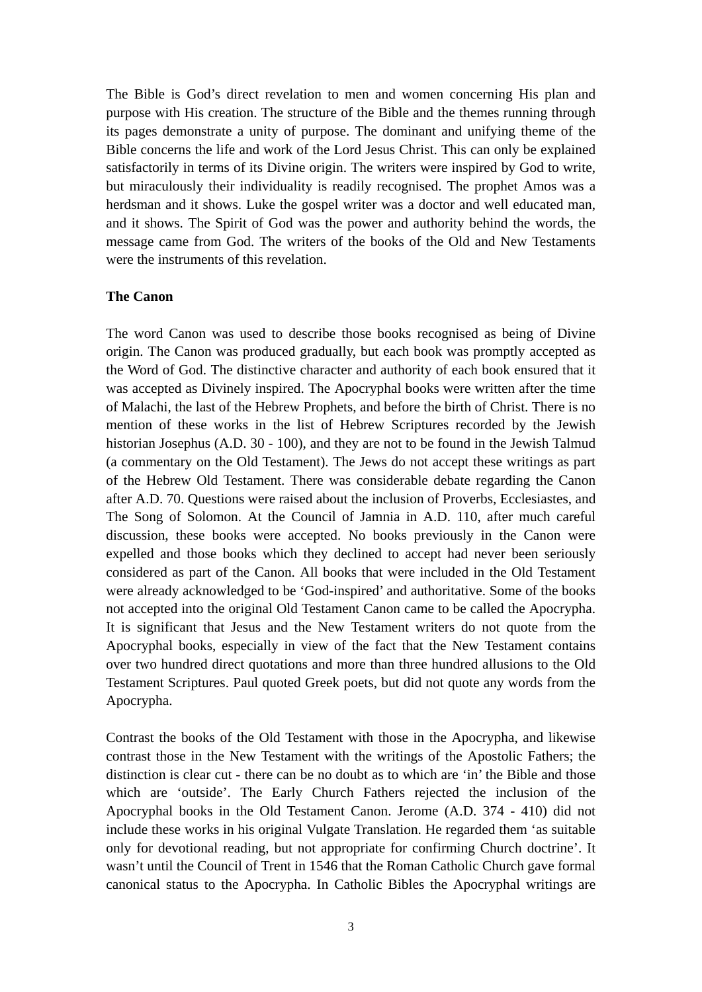The Bible is God's direct revelation to men and women concerning His plan and purpose with His creation. The structure of the Bible and the themes running through its pages demonstrate a unity of purpose. The dominant and unifying theme of the Bible concerns the life and work of the Lord Jesus Christ. This can only be explained satisfactorily in terms of its Divine origin. The writers were inspired by God to write, but miraculously their individuality is readily recognised. The prophet Amos was a herdsman and it shows. Luke the gospel writer was a doctor and well educated man, and it shows. The Spirit of God was the power and authority behind the words, the message came from God. The writers of the books of the Old and New Testaments were the instruments of this revelation.

#### **The Canon**

The word Canon was used to describe those books recognised as being of Divine origin. The Canon was produced gradually, but each book was promptly accepted as the Word of God. The distinctive character and authority of each book ensured that it was accepted as Divinely inspired. The Apocryphal books were written after the time of Malachi, the last of the Hebrew Prophets, and before the birth of Christ. There is no mention of these works in the list of Hebrew Scriptures recorded by the Jewish historian Josephus (A.D. 30 - 100), and they are not to be found in the Jewish Talmud (a commentary on the Old Testament). The Jews do not accept these writings as part of the Hebrew Old Testament. There was considerable debate regarding the Canon after A.D. 70. Questions were raised about the inclusion of Proverbs, Ecclesiastes, and The Song of Solomon. At the Council of Jamnia in A.D. 110, after much careful discussion, these books were accepted. No books previously in the Canon were expelled and those books which they declined to accept had never been seriously considered as part of the Canon. All books that were included in the Old Testament were already acknowledged to be 'God-inspired' and authoritative. Some of the books not accepted into the original Old Testament Canon came to be called the Apocrypha. It is significant that Jesus and the New Testament writers do not quote from the Apocryphal books, especially in view of the fact that the New Testament contains over two hundred direct quotations and more than three hundred allusions to the Old Testament Scriptures. Paul quoted Greek poets, but did not quote any words from the Apocrypha.

Contrast the books of the Old Testament with those in the Apocrypha, and likewise contrast those in the New Testament with the writings of the Apostolic Fathers; the distinction is clear cut - there can be no doubt as to which are 'in' the Bible and those which are 'outside'. The Early Church Fathers rejected the inclusion of the Apocryphal books in the Old Testament Canon. Jerome (A.D. 374 - 410) did not include these works in his original Vulgate Translation. He regarded them 'as suitable only for devotional reading, but not appropriate for confirming Church doctrine'. It wasn't until the Council of Trent in 1546 that the Roman Catholic Church gave formal canonical status to the Apocrypha. In Catholic Bibles the Apocryphal writings are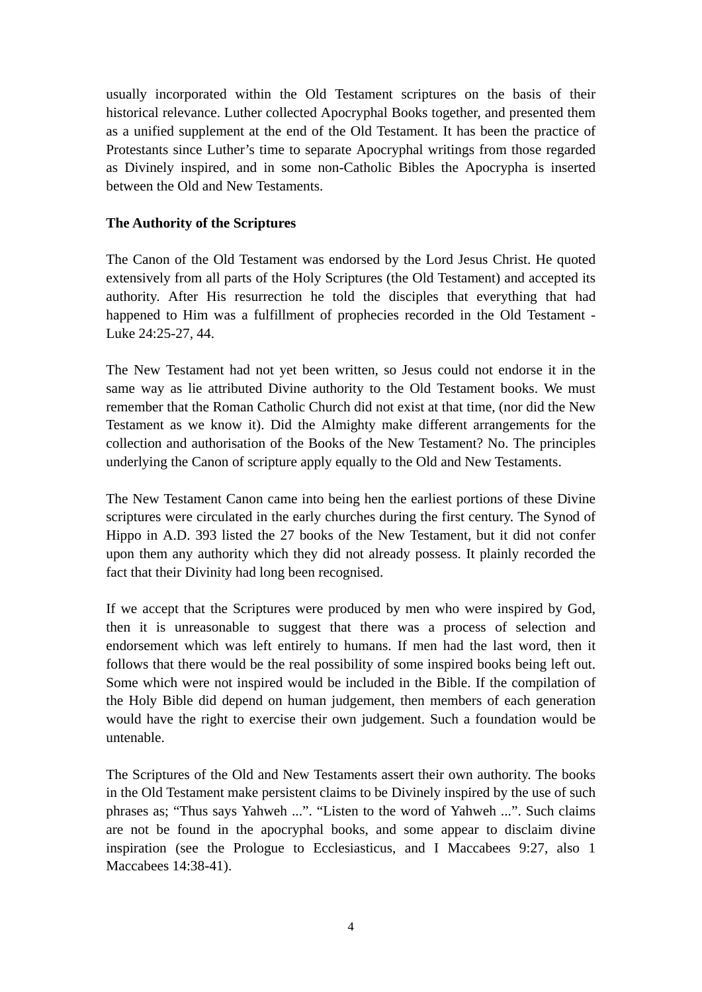usually incorporated within the Old Testament scriptures on the basis of their historical relevance. Luther collected Apocryphal Books together, and presented them as a unified supplement at the end of the Old Testament. It has been the practice of Protestants since Luther's time to separate Apocryphal writings from those regarded as Divinely inspired, and in some non-Catholic Bibles the Apocrypha is inserted between the Old and New Testaments.

## **The Authority of the Scriptures**

The Canon of the Old Testament was endorsed by the Lord Jesus Christ. He quoted extensively from all parts of the Holy Scriptures (the Old Testament) and accepted its authority. After His resurrection he told the disciples that everything that had happened to Him was a fulfillment of prophecies recorded in the Old Testament - Luke 24:25-27, 44.

The New Testament had not yet been written, so Jesus could not endorse it in the same way as lie attributed Divine authority to the Old Testament books. We must remember that the Roman Catholic Church did not exist at that time, (nor did the New Testament as we know it). Did the Almighty make different arrangements for the collection and authorisation of the Books of the New Testament? No. The principles underlying the Canon of scripture apply equally to the Old and New Testaments.

The New Testament Canon came into being hen the earliest portions of these Divine scriptures were circulated in the early churches during the first century. The Synod of Hippo in A.D. 393 listed the 27 books of the New Testament, but it did not confer upon them any authority which they did not already possess. It plainly recorded the fact that their Divinity had long been recognised.

If we accept that the Scriptures were produced by men who were inspired by God, then it is unreasonable to suggest that there was a process of selection and endorsement which was left entirely to humans. If men had the last word, then it follows that there would be the real possibility of some inspired books being left out. Some which were not inspired would be included in the Bible. If the compilation of the Holy Bible did depend on human judgement, then members of each generation would have the right to exercise their own judgement. Such a foundation would be untenable.

The Scriptures of the Old and New Testaments assert their own authority. The books in the Old Testament make persistent claims to be Divinely inspired by the use of such phrases as; "Thus says Yahweh ...". "Listen to the word of Yahweh ...". Such claims are not be found in the apocryphal books, and some appear to disclaim divine inspiration (see the Prologue to Ecclesiasticus, and I Maccabees 9:27, also 1 Maccabees 14:38-41).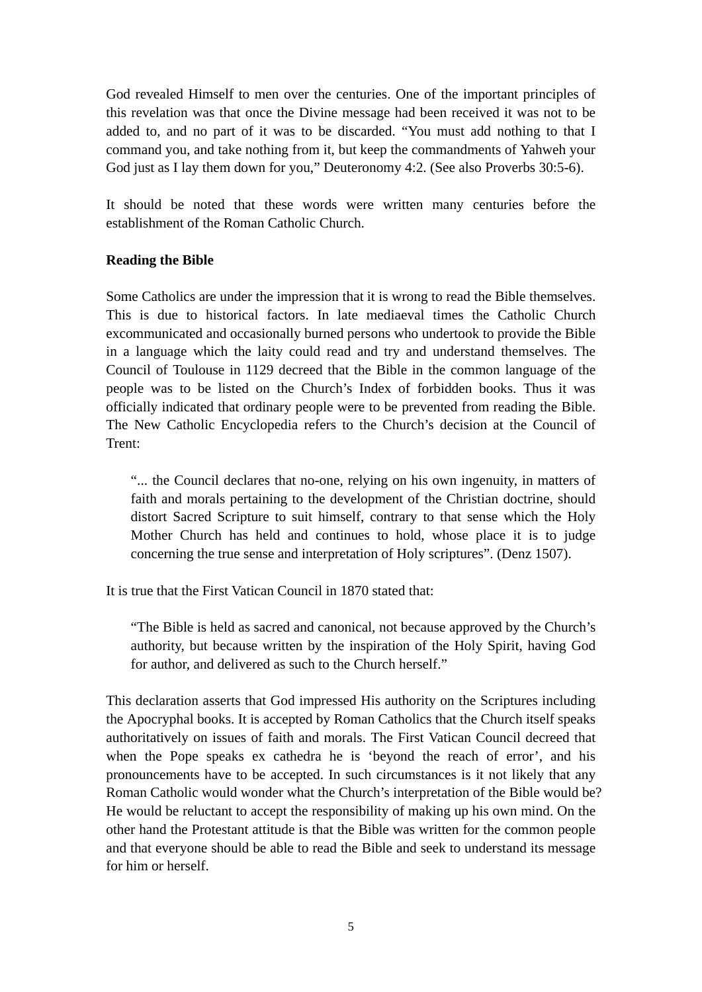God revealed Himself to men over the centuries. One of the important principles of this revelation was that once the Divine message had been received it was not to be added to, and no part of it was to be discarded. "You must add nothing to that I command you, and take nothing from it, but keep the commandments of Yahweh your God just as I lay them down for you," Deuteronomy 4:2. (See also Proverbs 30:5-6).

It should be noted that these words were written many centuries before the establishment of the Roman Catholic Church.

## **Reading the Bible**

Some Catholics are under the impression that it is wrong to read the Bible themselves. This is due to historical factors. In late mediaeval times the Catholic Church excommunicated and occasionally burned persons who undertook to provide the Bible in a language which the laity could read and try and understand themselves. The Council of Toulouse in 1129 decreed that the Bible in the common language of the people was to be listed on the Church's Index of forbidden books. Thus it was officially indicated that ordinary people were to be prevented from reading the Bible. The New Catholic Encyclopedia refers to the Church's decision at the Council of Trent:

"... the Council declares that no-one, relying on his own ingenuity, in matters of faith and morals pertaining to the development of the Christian doctrine, should distort Sacred Scripture to suit himself, contrary to that sense which the Holy Mother Church has held and continues to hold, whose place it is to judge concerning the true sense and interpretation of Holy scriptures". (Denz 1507).

It is true that the First Vatican Council in 1870 stated that:

"The Bible is held as sacred and canonical, not because approved by the Church's authority, but because written by the inspiration of the Holy Spirit, having God for author, and delivered as such to the Church herself."

This declaration asserts that God impressed His authority on the Scriptures including the Apocryphal books. It is accepted by Roman Catholics that the Church itself speaks authoritatively on issues of faith and morals. The First Vatican Council decreed that when the Pope speaks ex cathedra he is 'beyond the reach of error', and his pronouncements have to be accepted. In such circumstances is it not likely that any Roman Catholic would wonder what the Church's interpretation of the Bible would be? He would be reluctant to accept the responsibility of making up his own mind. On the other hand the Protestant attitude is that the Bible was written for the common people and that everyone should be able to read the Bible and seek to understand its message for him or herself.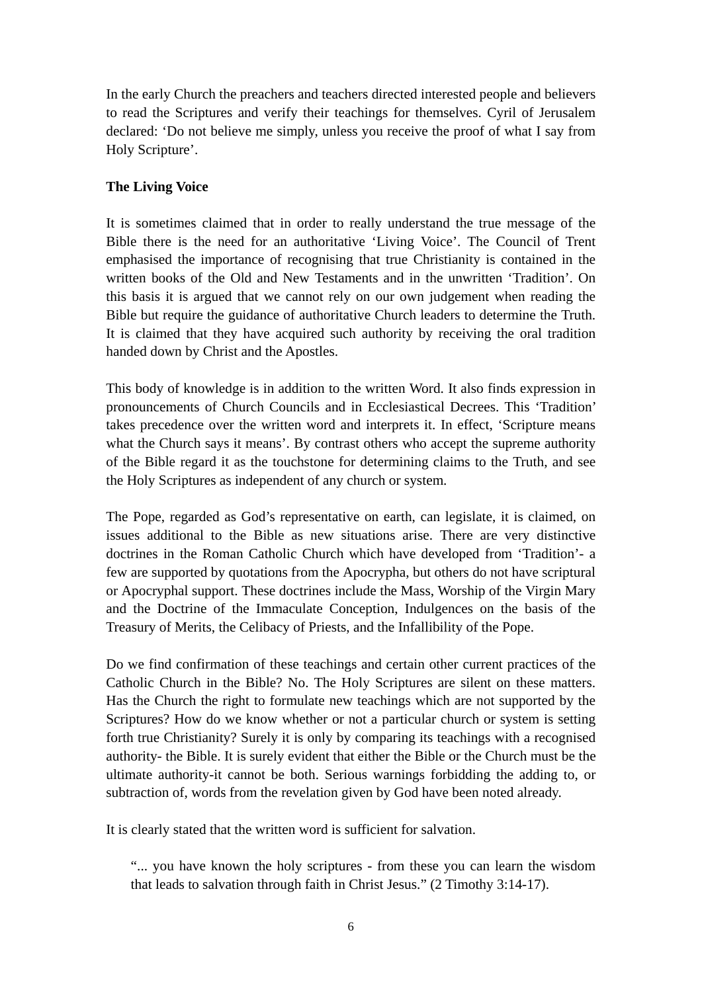In the early Church the preachers and teachers directed interested people and believers to read the Scriptures and verify their teachings for themselves. Cyril of Jerusalem declared: 'Do not believe me simply, unless you receive the proof of what I say from Holy Scripture'.

# **The Living Voice**

It is sometimes claimed that in order to really understand the true message of the Bible there is the need for an authoritative 'Living Voice'. The Council of Trent emphasised the importance of recognising that true Christianity is contained in the written books of the Old and New Testaments and in the unwritten 'Tradition'. On this basis it is argued that we cannot rely on our own judgement when reading the Bible but require the guidance of authoritative Church leaders to determine the Truth. It is claimed that they have acquired such authority by receiving the oral tradition handed down by Christ and the Apostles.

This body of knowledge is in addition to the written Word. It also finds expression in pronouncements of Church Councils and in Ecclesiastical Decrees. This 'Tradition' takes precedence over the written word and interprets it. In effect, 'Scripture means what the Church says it means'. By contrast others who accept the supreme authority of the Bible regard it as the touchstone for determining claims to the Truth, and see the Holy Scriptures as independent of any church or system.

The Pope, regarded as God's representative on earth, can legislate, it is claimed, on issues additional to the Bible as new situations arise. There are very distinctive doctrines in the Roman Catholic Church which have developed from 'Tradition'- a few are supported by quotations from the Apocrypha, but others do not have scriptural or Apocryphal support. These doctrines include the Mass, Worship of the Virgin Mary and the Doctrine of the Immaculate Conception, Indulgences on the basis of the Treasury of Merits, the Celibacy of Priests, and the Infallibility of the Pope.

Do we find confirmation of these teachings and certain other current practices of the Catholic Church in the Bible? No. The Holy Scriptures are silent on these matters. Has the Church the right to formulate new teachings which are not supported by the Scriptures? How do we know whether or not a particular church or system is setting forth true Christianity? Surely it is only by comparing its teachings with a recognised authority- the Bible. It is surely evident that either the Bible or the Church must be the ultimate authority-it cannot be both. Serious warnings forbidding the adding to, or subtraction of, words from the revelation given by God have been noted already.

It is clearly stated that the written word is sufficient for salvation.

"... you have known the holy scriptures - from these you can learn the wisdom that leads to salvation through faith in Christ Jesus." (2 Timothy 3:14-17).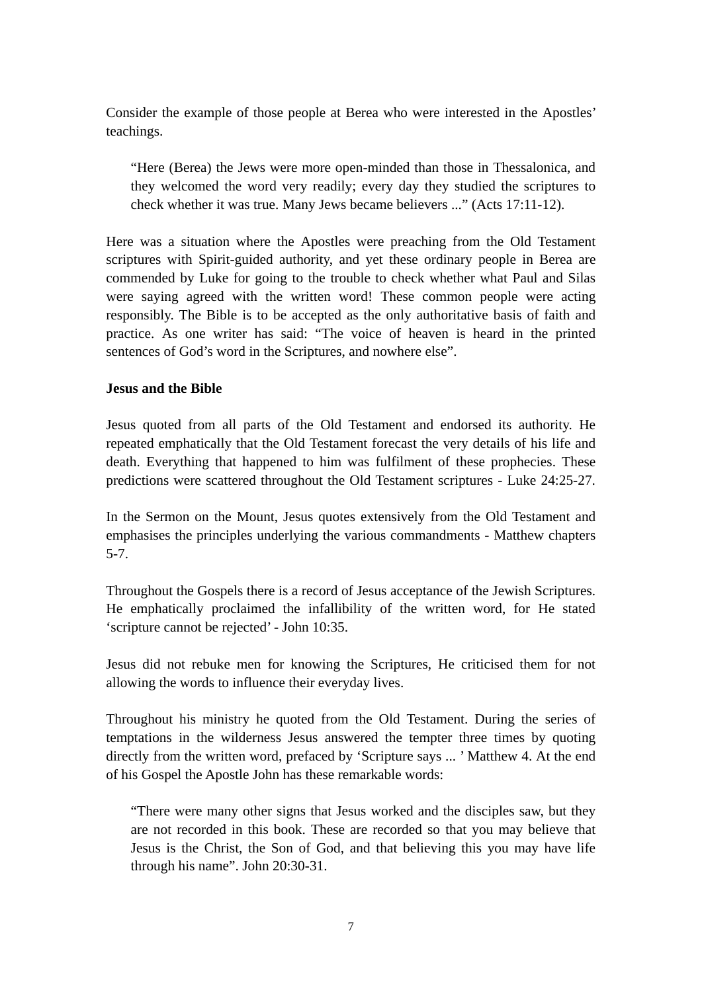Consider the example of those people at Berea who were interested in the Apostles' teachings.

"Here (Berea) the Jews were more open-minded than those in Thessalonica, and they welcomed the word very readily; every day they studied the scriptures to check whether it was true. Many Jews became believers ..." (Acts 17:11-12).

Here was a situation where the Apostles were preaching from the Old Testament scriptures with Spirit-guided authority, and yet these ordinary people in Berea are commended by Luke for going to the trouble to check whether what Paul and Silas were saying agreed with the written word! These common people were acting responsibly. The Bible is to be accepted as the only authoritative basis of faith and practice. As one writer has said: "The voice of heaven is heard in the printed sentences of God's word in the Scriptures, and nowhere else".

## **Jesus and the Bible**

Jesus quoted from all parts of the Old Testament and endorsed its authority. He repeated emphatically that the Old Testament forecast the very details of his life and death. Everything that happened to him was fulfilment of these prophecies. These predictions were scattered throughout the Old Testament scriptures - Luke 24:25-27.

In the Sermon on the Mount, Jesus quotes extensively from the Old Testament and emphasises the principles underlying the various commandments - Matthew chapters 5-7.

Throughout the Gospels there is a record of Jesus acceptance of the Jewish Scriptures. He emphatically proclaimed the infallibility of the written word, for He stated 'scripture cannot be rejected' - John 10:35.

Jesus did not rebuke men for knowing the Scriptures, He criticised them for not allowing the words to influence their everyday lives.

Throughout his ministry he quoted from the Old Testament. During the series of temptations in the wilderness Jesus answered the tempter three times by quoting directly from the written word, prefaced by 'Scripture says ... ' Matthew 4. At the end of his Gospel the Apostle John has these remarkable words:

"There were many other signs that Jesus worked and the disciples saw, but they are not recorded in this book. These are recorded so that you may believe that Jesus is the Christ, the Son of God, and that believing this you may have life through his name". John 20:30-31.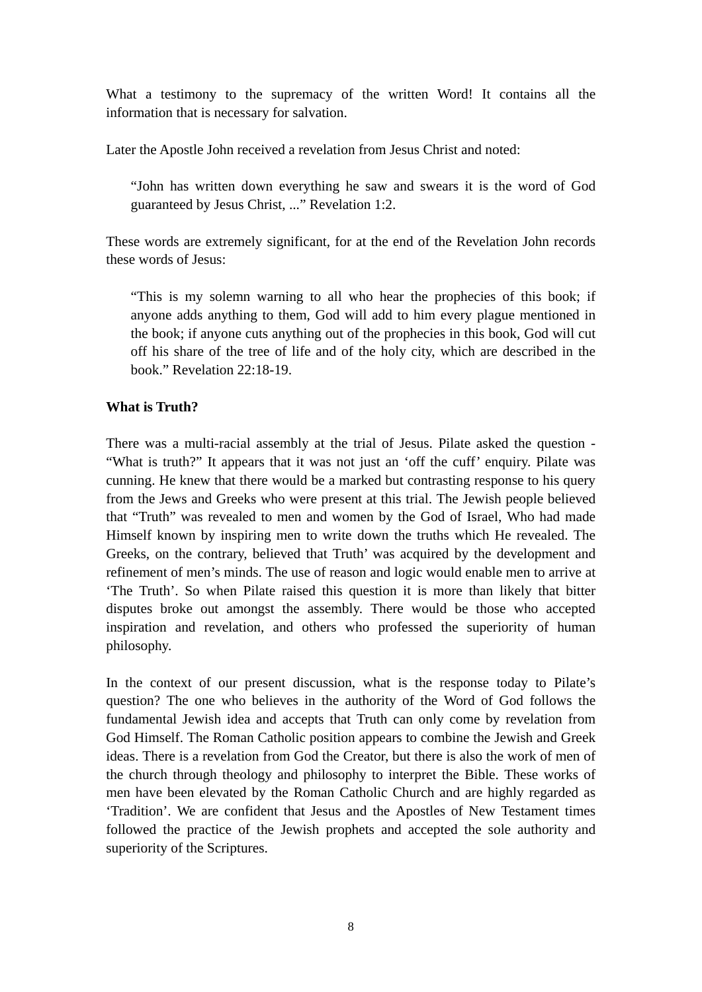What a testimony to the supremacy of the written Word! It contains all the information that is necessary for salvation.

Later the Apostle John received a revelation from Jesus Christ and noted:

"John has written down everything he saw and swears it is the word of God guaranteed by Jesus Christ, ..." Revelation 1:2.

These words are extremely significant, for at the end of the Revelation John records these words of Jesus:

"This is my solemn warning to all who hear the prophecies of this book; if anyone adds anything to them, God will add to him every plague mentioned in the book; if anyone cuts anything out of the prophecies in this book, God will cut off his share of the tree of life and of the holy city, which are described in the book." Revelation 22:18-19.

# **What is Truth?**

There was a multi-racial assembly at the trial of Jesus. Pilate asked the question - "What is truth?" It appears that it was not just an 'off the cuff' enquiry. Pilate was cunning. He knew that there would be a marked but contrasting response to his query from the Jews and Greeks who were present at this trial. The Jewish people believed that "Truth" was revealed to men and women by the God of Israel, Who had made Himself known by inspiring men to write down the truths which He revealed. The Greeks, on the contrary, believed that Truth' was acquired by the development and refinement of men's minds. The use of reason and logic would enable men to arrive at 'The Truth'. So when Pilate raised this question it is more than likely that bitter disputes broke out amongst the assembly. There would be those who accepted inspiration and revelation, and others who professed the superiority of human philosophy.

In the context of our present discussion, what is the response today to Pilate's question? The one who believes in the authority of the Word of God follows the fundamental Jewish idea and accepts that Truth can only come by revelation from God Himself. The Roman Catholic position appears to combine the Jewish and Greek ideas. There is a revelation from God the Creator, but there is also the work of men of the church through theology and philosophy to interpret the Bible. These works of men have been elevated by the Roman Catholic Church and are highly regarded as 'Tradition'. We are confident that Jesus and the Apostles of New Testament times followed the practice of the Jewish prophets and accepted the sole authority and superiority of the Scriptures.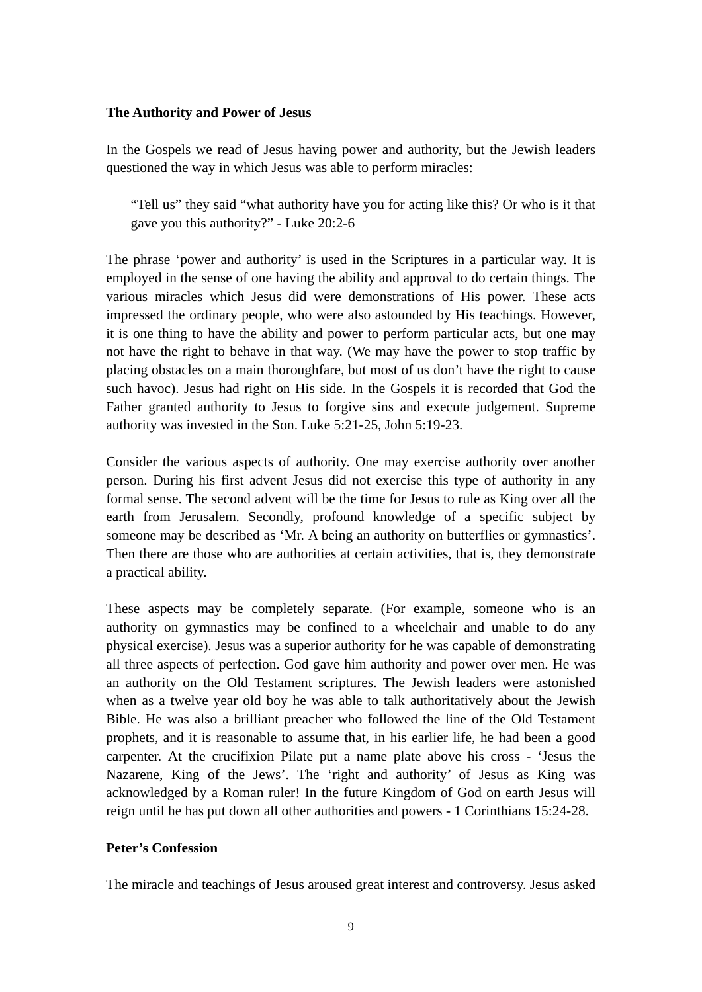## **The Authority and Power of Jesus**

In the Gospels we read of Jesus having power and authority, but the Jewish leaders questioned the way in which Jesus was able to perform miracles:

"Tell us" they said "what authority have you for acting like this? Or who is it that gave you this authority?" - Luke 20:2-6

The phrase 'power and authority' is used in the Scriptures in a particular way. It is employed in the sense of one having the ability and approval to do certain things. The various miracles which Jesus did were demonstrations of His power. These acts impressed the ordinary people, who were also astounded by His teachings. However, it is one thing to have the ability and power to perform particular acts, but one may not have the right to behave in that way. (We may have the power to stop traffic by placing obstacles on a main thoroughfare, but most of us don't have the right to cause such havoc). Jesus had right on His side. In the Gospels it is recorded that God the Father granted authority to Jesus to forgive sins and execute judgement. Supreme authority was invested in the Son. Luke 5:21-25, John 5:19-23.

Consider the various aspects of authority. One may exercise authority over another person. During his first advent Jesus did not exercise this type of authority in any formal sense. The second advent will be the time for Jesus to rule as King over all the earth from Jerusalem. Secondly, profound knowledge of a specific subject by someone may be described as 'Mr. A being an authority on butterflies or gymnastics'. Then there are those who are authorities at certain activities, that is, they demonstrate a practical ability.

These aspects may be completely separate. (For example, someone who is an authority on gymnastics may be confined to a wheelchair and unable to do any physical exercise). Jesus was a superior authority for he was capable of demonstrating all three aspects of perfection. God gave him authority and power over men. He was an authority on the Old Testament scriptures. The Jewish leaders were astonished when as a twelve year old boy he was able to talk authoritatively about the Jewish Bible. He was also a brilliant preacher who followed the line of the Old Testament prophets, and it is reasonable to assume that, in his earlier life, he had been a good carpenter. At the crucifixion Pilate put a name plate above his cross - 'Jesus the Nazarene, King of the Jews'. The 'right and authority' of Jesus as King was acknowledged by a Roman ruler! In the future Kingdom of God on earth Jesus will reign until he has put down all other authorities and powers - 1 Corinthians 15:24-28.

# **Peter's Confession**

The miracle and teachings of Jesus aroused great interest and controversy. Jesus asked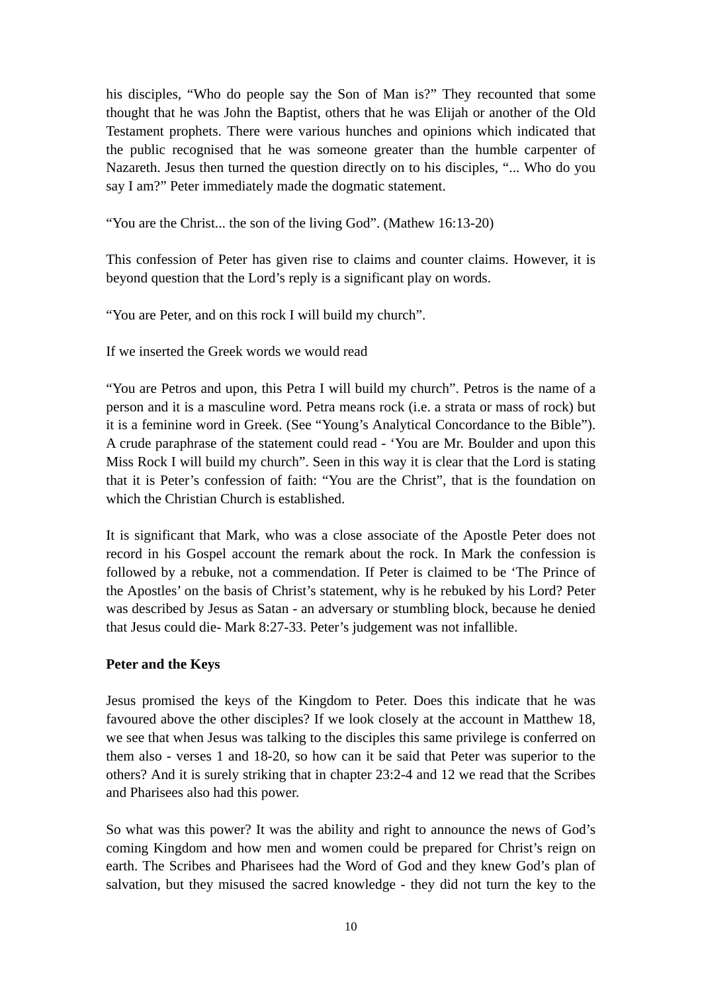his disciples, "Who do people say the Son of Man is?" They recounted that some thought that he was John the Baptist, others that he was Elijah or another of the Old Testament prophets. There were various hunches and opinions which indicated that the public recognised that he was someone greater than the humble carpenter of Nazareth. Jesus then turned the question directly on to his disciples, "... Who do you say I am?" Peter immediately made the dogmatic statement.

"You are the Christ... the son of the living God". (Mathew 16:13-20)

This confession of Peter has given rise to claims and counter claims. However, it is beyond question that the Lord's reply is a significant play on words.

"You are Peter, and on this rock I will build my church".

If we inserted the Greek words we would read

"You are Petros and upon, this Petra I will build my church". Petros is the name of a person and it is a masculine word. Petra means rock (i.e. a strata or mass of rock) but it is a feminine word in Greek. (See "Young's Analytical Concordance to the Bible"). A crude paraphrase of the statement could read - 'You are Mr. Boulder and upon this Miss Rock I will build my church". Seen in this way it is clear that the Lord is stating that it is Peter's confession of faith: "You are the Christ", that is the foundation on which the Christian Church is established.

It is significant that Mark, who was a close associate of the Apostle Peter does not record in his Gospel account the remark about the rock. In Mark the confession is followed by a rebuke, not a commendation. If Peter is claimed to be 'The Prince of the Apostles' on the basis of Christ's statement, why is he rebuked by his Lord? Peter was described by Jesus as Satan - an adversary or stumbling block, because he denied that Jesus could die- Mark 8:27-33. Peter's judgement was not infallible.

# **Peter and the Keys**

Jesus promised the keys of the Kingdom to Peter. Does this indicate that he was favoured above the other disciples? If we look closely at the account in Matthew 18, we see that when Jesus was talking to the disciples this same privilege is conferred on them also - verses 1 and 18-20, so how can it be said that Peter was superior to the others? And it is surely striking that in chapter 23:2-4 and 12 we read that the Scribes and Pharisees also had this power.

So what was this power? It was the ability and right to announce the news of God's coming Kingdom and how men and women could be prepared for Christ's reign on earth. The Scribes and Pharisees had the Word of God and they knew God's plan of salvation, but they misused the sacred knowledge - they did not turn the key to the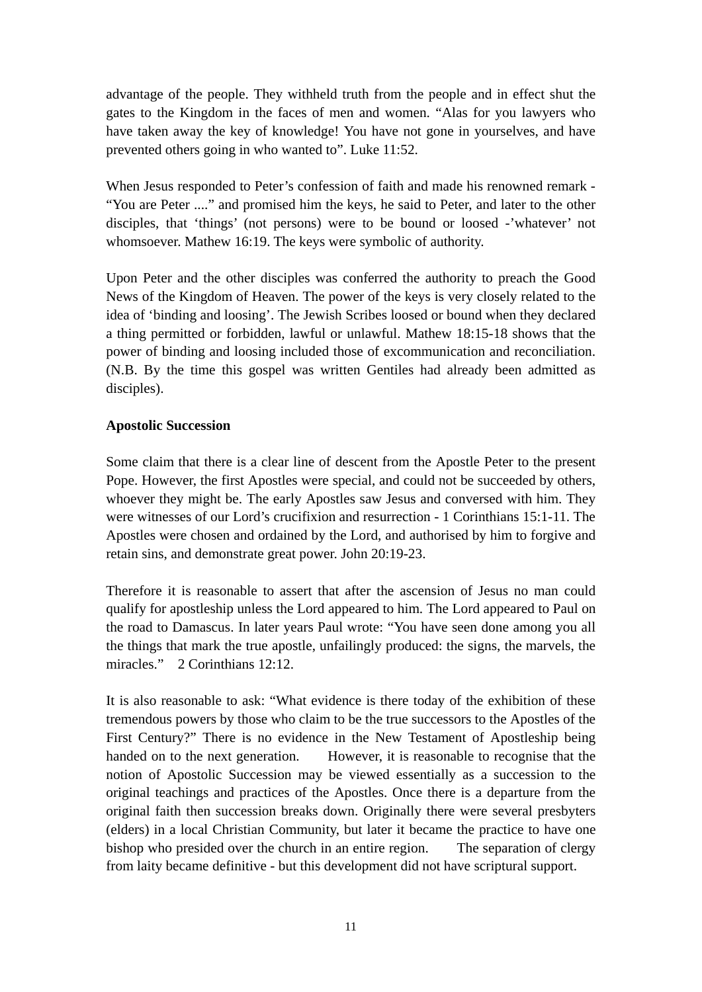advantage of the people. They withheld truth from the people and in effect shut the gates to the Kingdom in the faces of men and women. "Alas for you lawyers who have taken away the key of knowledge! You have not gone in yourselves, and have prevented others going in who wanted to". Luke 11:52.

When Jesus responded to Peter's confession of faith and made his renowned remark - "You are Peter ...." and promised him the keys, he said to Peter, and later to the other disciples, that 'things' (not persons) were to be bound or loosed -'whatever' not whomsoever. Mathew 16:19. The keys were symbolic of authority.

Upon Peter and the other disciples was conferred the authority to preach the Good News of the Kingdom of Heaven. The power of the keys is very closely related to the idea of 'binding and loosing'. The Jewish Scribes loosed or bound when they declared a thing permitted or forbidden, lawful or unlawful. Mathew 18:15-18 shows that the power of binding and loosing included those of excommunication and reconciliation. (N.B. By the time this gospel was written Gentiles had already been admitted as disciples).

## **Apostolic Succession**

Some claim that there is a clear line of descent from the Apostle Peter to the present Pope. However, the first Apostles were special, and could not be succeeded by others, whoever they might be. The early Apostles saw Jesus and conversed with him. They were witnesses of our Lord's crucifixion and resurrection - 1 Corinthians 15:1-11. The Apostles were chosen and ordained by the Lord, and authorised by him to forgive and retain sins, and demonstrate great power. John 20:19-23.

Therefore it is reasonable to assert that after the ascension of Jesus no man could qualify for apostleship unless the Lord appeared to him. The Lord appeared to Paul on the road to Damascus. In later years Paul wrote: "You have seen done among you all the things that mark the true apostle, unfailingly produced: the signs, the marvels, the miracles." 2 Corinthians 12:12.

It is also reasonable to ask: "What evidence is there today of the exhibition of these tremendous powers by those who claim to be the true successors to the Apostles of the First Century?" There is no evidence in the New Testament of Apostleship being handed on to the next generation. However, it is reasonable to recognise that the notion of Apostolic Succession may be viewed essentially as a succession to the original teachings and practices of the Apostles. Once there is a departure from the original faith then succession breaks down. Originally there were several presbyters (elders) in a local Christian Community, but later it became the practice to have one bishop who presided over the church in an entire region. The separation of clergy from laity became definitive - but this development did not have scriptural support.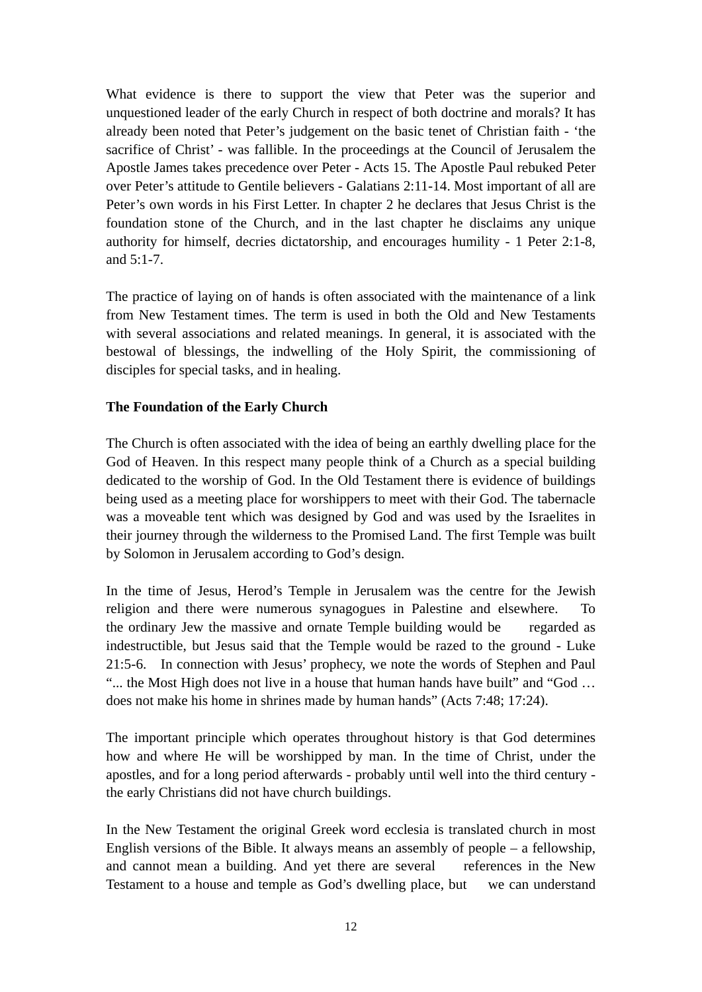What evidence is there to support the view that Peter was the superior and unquestioned leader of the early Church in respect of both doctrine and morals? It has already been noted that Peter's judgement on the basic tenet of Christian faith - 'the sacrifice of Christ' - was fallible. In the proceedings at the Council of Jerusalem the Apostle James takes precedence over Peter - Acts 15. The Apostle Paul rebuked Peter over Peter's attitude to Gentile believers - Galatians 2:11-14. Most important of all are Peter's own words in his First Letter. In chapter 2 he declares that Jesus Christ is the foundation stone of the Church, and in the last chapter he disclaims any unique authority for himself, decries dictatorship, and encourages humility - 1 Peter 2:1-8, and  $5 \cdot 1 - 7$ .

The practice of laying on of hands is often associated with the maintenance of a link from New Testament times. The term is used in both the Old and New Testaments with several associations and related meanings. In general, it is associated with the bestowal of blessings, the indwelling of the Holy Spirit, the commissioning of disciples for special tasks, and in healing.

# **The Foundation of the Early Church**

The Church is often associated with the idea of being an earthly dwelling place for the God of Heaven. In this respect many people think of a Church as a special building dedicated to the worship of God. In the Old Testament there is evidence of buildings being used as a meeting place for worshippers to meet with their God. The tabernacle was a moveable tent which was designed by God and was used by the Israelites in their journey through the wilderness to the Promised Land. The first Temple was built by Solomon in Jerusalem according to God's design.

In the time of Jesus, Herod's Temple in Jerusalem was the centre for the Jewish religion and there were numerous synagogues in Palestine and elsewhere. To the ordinary Jew the massive and ornate Temple building would be regarded as indestructible, but Jesus said that the Temple would be razed to the ground - Luke 21:5-6. In connection with Jesus' prophecy, we note the words of Stephen and Paul "... the Most High does not live in a house that human hands have built" and "God ... does not make his home in shrines made by human hands" (Acts 7:48; 17:24).

The important principle which operates throughout history is that God determines how and where He will be worshipped by man. In the time of Christ, under the apostles, and for a long period afterwards - probably until well into the third century the early Christians did not have church buildings.

In the New Testament the original Greek word ecclesia is translated church in most English versions of the Bible. It always means an assembly of people – a fellowship, and cannot mean a building. And yet there are several references in the New Testament to a house and temple as God's dwelling place, but we can understand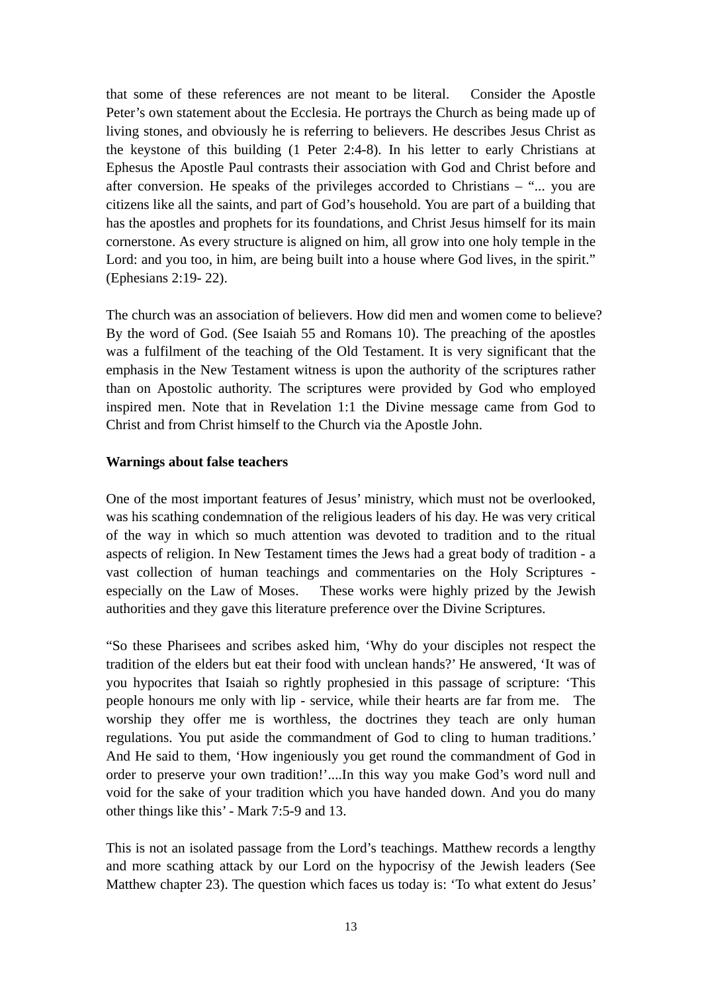that some of these references are not meant to be literal. Consider the Apostle Peter's own statement about the Ecclesia. He portrays the Church as being made up of living stones, and obviously he is referring to believers. He describes Jesus Christ as the keystone of this building (1 Peter 2:4-8). In his letter to early Christians at Ephesus the Apostle Paul contrasts their association with God and Christ before and after conversion. He speaks of the privileges accorded to Christians – "... you are citizens like all the saints, and part of God's household. You are part of a building that has the apostles and prophets for its foundations, and Christ Jesus himself for its main cornerstone. As every structure is aligned on him, all grow into one holy temple in the Lord: and you too, in him, are being built into a house where God lives, in the spirit." (Ephesians 2:19- 22).

The church was an association of believers. How did men and women come to believe? By the word of God. (See Isaiah 55 and Romans 10). The preaching of the apostles was a fulfilment of the teaching of the Old Testament. It is very significant that the emphasis in the New Testament witness is upon the authority of the scriptures rather than on Apostolic authority. The scriptures were provided by God who employed inspired men. Note that in Revelation 1:1 the Divine message came from God to Christ and from Christ himself to the Church via the Apostle John.

## **Warnings about false teachers**

One of the most important features of Jesus' ministry, which must not be overlooked, was his scathing condemnation of the religious leaders of his day. He was very critical of the way in which so much attention was devoted to tradition and to the ritual aspects of religion. In New Testament times the Jews had a great body of tradition - a vast collection of human teachings and commentaries on the Holy Scriptures especially on the Law of Moses. These works were highly prized by the Jewish authorities and they gave this literature preference over the Divine Scriptures.

"So these Pharisees and scribes asked him, 'Why do your disciples not respect the tradition of the elders but eat their food with unclean hands?' He answered, 'It was of you hypocrites that Isaiah so rightly prophesied in this passage of scripture: 'This people honours me only with lip - service, while their hearts are far from me. The worship they offer me is worthless, the doctrines they teach are only human regulations. You put aside the commandment of God to cling to human traditions.' And He said to them, 'How ingeniously you get round the commandment of God in order to preserve your own tradition!'....In this way you make God's word null and void for the sake of your tradition which you have handed down. And you do many other things like this' - Mark 7:5-9 and 13.

This is not an isolated passage from the Lord's teachings. Matthew records a lengthy and more scathing attack by our Lord on the hypocrisy of the Jewish leaders (See Matthew chapter 23). The question which faces us today is: 'To what extent do Jesus'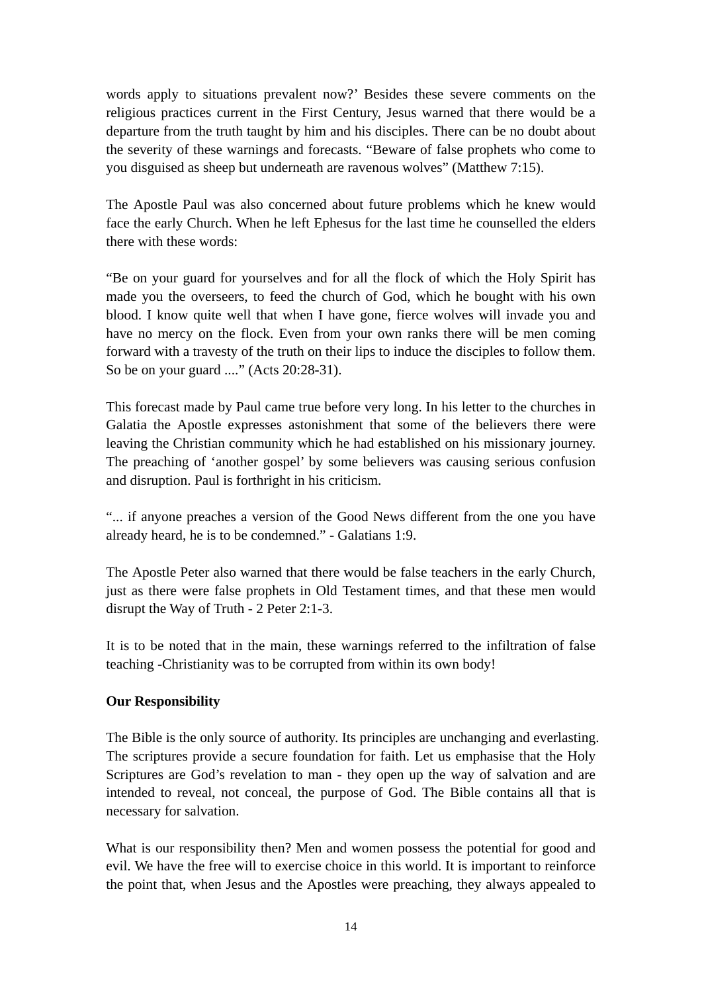words apply to situations prevalent now?' Besides these severe comments on the religious practices current in the First Century, Jesus warned that there would be a departure from the truth taught by him and his disciples. There can be no doubt about the severity of these warnings and forecasts. "Beware of false prophets who come to you disguised as sheep but underneath are ravenous wolves" (Matthew 7:15).

The Apostle Paul was also concerned about future problems which he knew would face the early Church. When he left Ephesus for the last time he counselled the elders there with these words:

"Be on your guard for yourselves and for all the flock of which the Holy Spirit has made you the overseers, to feed the church of God, which he bought with his own blood. I know quite well that when I have gone, fierce wolves will invade you and have no mercy on the flock. Even from your own ranks there will be men coming forward with a travesty of the truth on their lips to induce the disciples to follow them. So be on your guard ...." (Acts 20:28-31).

This forecast made by Paul came true before very long. In his letter to the churches in Galatia the Apostle expresses astonishment that some of the believers there were leaving the Christian community which he had established on his missionary journey. The preaching of 'another gospel' by some believers was causing serious confusion and disruption. Paul is forthright in his criticism.

"... if anyone preaches a version of the Good News different from the one you have already heard, he is to be condemned." - Galatians 1:9.

The Apostle Peter also warned that there would be false teachers in the early Church, just as there were false prophets in Old Testament times, and that these men would disrupt the Way of Truth - 2 Peter 2:1-3.

It is to be noted that in the main, these warnings referred to the infiltration of false teaching -Christianity was to be corrupted from within its own body!

# **Our Responsibility**

The Bible is the only source of authority. Its principles are unchanging and everlasting. The scriptures provide a secure foundation for faith. Let us emphasise that the Holy Scriptures are God's revelation to man - they open up the way of salvation and are intended to reveal, not conceal, the purpose of God. The Bible contains all that is necessary for salvation.

What is our responsibility then? Men and women possess the potential for good and evil. We have the free will to exercise choice in this world. It is important to reinforce the point that, when Jesus and the Apostles were preaching, they always appealed to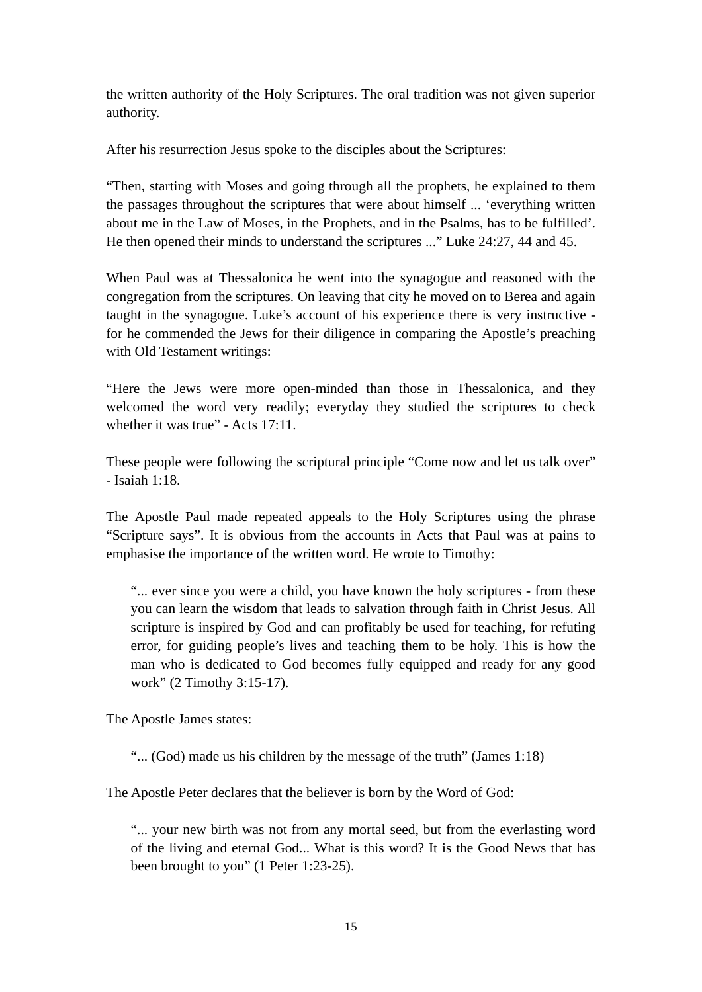the written authority of the Holy Scriptures. The oral tradition was not given superior authority.

After his resurrection Jesus spoke to the disciples about the Scriptures:

"Then, starting with Moses and going through all the prophets, he explained to them the passages throughout the scriptures that were about himself ... 'everything written about me in the Law of Moses, in the Prophets, and in the Psalms, has to be fulfilled'. He then opened their minds to understand the scriptures ..." Luke 24:27, 44 and 45.

When Paul was at Thessalonica he went into the synagogue and reasoned with the congregation from the scriptures. On leaving that city he moved on to Berea and again taught in the synagogue. Luke's account of his experience there is very instructive for he commended the Jews for their diligence in comparing the Apostle's preaching with Old Testament writings:

"Here the Jews were more open-minded than those in Thessalonica, and they welcomed the word very readily; everyday they studied the scriptures to check whether it was true" - Acts 17:11.

These people were following the scriptural principle "Come now and let us talk over" - Isaiah 1:18.

The Apostle Paul made repeated appeals to the Holy Scriptures using the phrase "Scripture says". It is obvious from the accounts in Acts that Paul was at pains to emphasise the importance of the written word. He wrote to Timothy:

"... ever since you were a child, you have known the holy scriptures - from these you can learn the wisdom that leads to salvation through faith in Christ Jesus. All scripture is inspired by God and can profitably be used for teaching, for refuting error, for guiding people's lives and teaching them to be holy. This is how the man who is dedicated to God becomes fully equipped and ready for any good work" (2 Timothy 3:15-17).

The Apostle James states:

"... (God) made us his children by the message of the truth" (James 1:18)

The Apostle Peter declares that the believer is born by the Word of God:

"... your new birth was not from any mortal seed, but from the everlasting word of the living and eternal God... What is this word? It is the Good News that has been brought to you" (1 Peter 1:23-25).